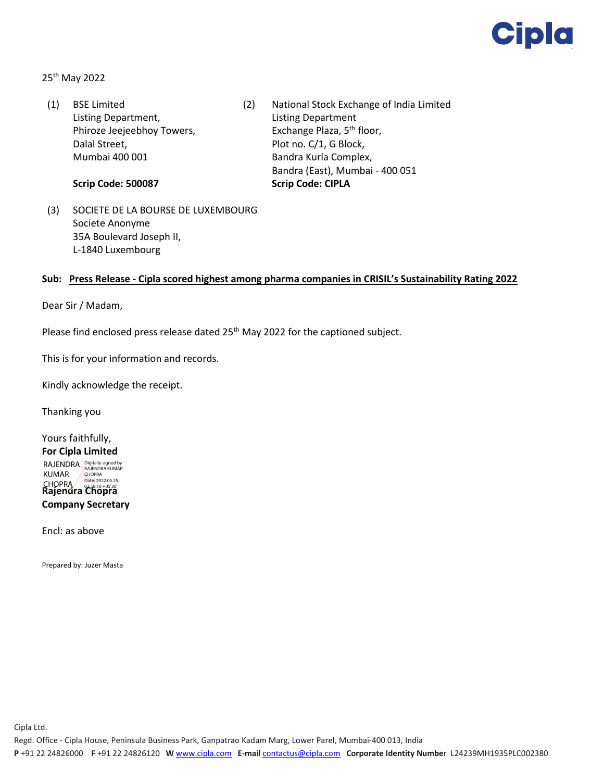

25th May 2022

(1) BSE Limited Listing Department, Phiroze Jeejeebhoy Towers, Dalal Street, Mumbai 400 001

**Scrip Code: 500087**

- (2) National Stock Exchange of India Limited Listing Department Exchange Plaza, 5<sup>th</sup> floor, Plot no. C/1, G Block, Bandra Kurla Complex, Bandra (East), Mumbai - 400 051 **Scrip Code: CIPLA**
- (3) SOCIETE DE LA BOURSE DE LUXEMBOURG Societe Anonyme 35A Boulevard Joseph II, L-1840 Luxembourg

## **Sub: Press Release - Cipla scored highest among pharma companies in CRISIL's Sustainability Rating 2022**

Dear Sir / Madam,

Please find enclosed press release dated  $25<sup>th</sup>$  May 2022 for the captioned subject.

This is for your information and records.

Kindly acknowledge the receipt.

Thanking you

Yours faithfully, **For Cipla Limited Rajendra Chopra Company Secretary** RAJENDRA Digitally signed by KUMAR CHOPRA CHOPRA Date: 2022.05.25 07:18:10 +05'30'

Encl: as above

Prepared by: Juzer Masta